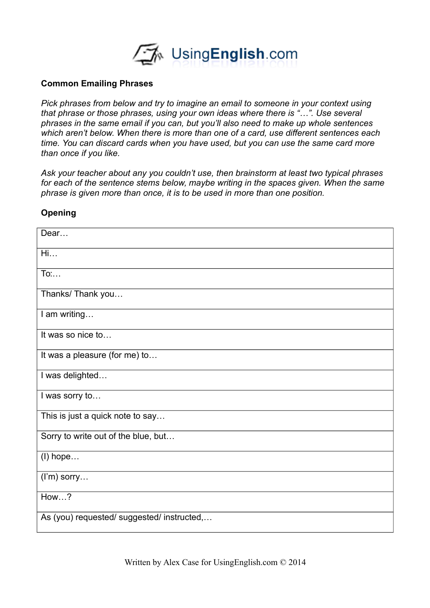

#### **Common Emailing Phrases**

*Pick phrases from below and try to imagine an email to someone in your context using that phrase or those phrases, using your own ideas where there is "…". Use several phrases in the same email if you can, but you'll also need to make up whole sentences which aren't below. When there is more than one of a card, use different sentences each time. You can discard cards when you have used, but you can use the same card more than once if you like.* 

*Ask your teacher about any you couldn't use, then brainstorm at least two typical phrases*  for each of the sentence stems below, maybe writing in the spaces given. When the same *phrase is given more than once, it is to be used in more than one position.* 

### **Opening**

| Dear                                       |
|--------------------------------------------|
| Hi                                         |
| To:                                        |
| Thanks/ Thank you                          |
| I am writing                               |
| It was so nice to                          |
| It was a pleasure (for me) to              |
| I was delighted                            |
| I was sorry to                             |
| This is just a quick note to say           |
| Sorry to write out of the blue, but        |
| $(I)$ hope                                 |
| (I'm) sorry                                |
| How?                                       |
| As (you) requested/ suggested/ instructed, |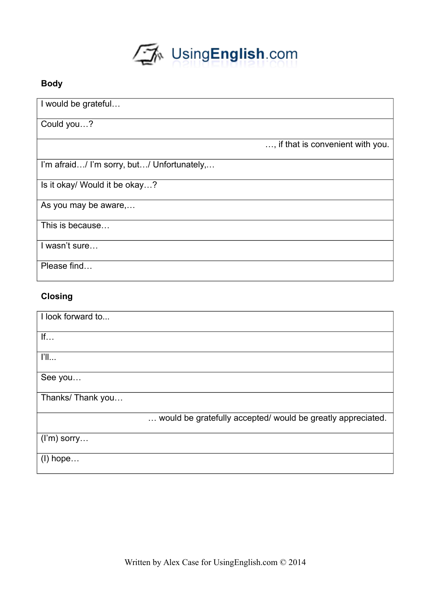

## **Body**

| I would be grateful                        |                                   |
|--------------------------------------------|-----------------------------------|
| Could you?                                 |                                   |
|                                            | , if that is convenient with you. |
| I'm afraid/ I'm sorry, but/ Unfortunately, |                                   |
| Is it okay/ Would it be okay?              |                                   |
| As you may be aware,                       |                                   |
| This is because                            |                                   |
| I wasn't sure                              |                                   |
| Please find                                |                                   |

# **Closing**

| I look forward to |                                                             |
|-------------------|-------------------------------------------------------------|
| If                |                                                             |
| $\Gamma$ II       |                                                             |
| See you           |                                                             |
| Thanks/ Thank you |                                                             |
|                   | would be gratefully accepted/ would be greatly appreciated. |
| $(l'm)$ sorry     |                                                             |
| $(I)$ hope        |                                                             |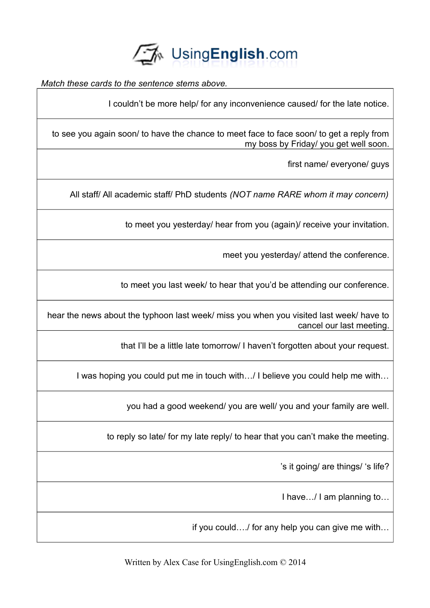

*Match these cards to the sentence stems above.* 

I couldn't be more help/ for any inconvenience caused/ for the late notice.

to see you again soon/ to have the chance to meet face to face soon/ to get a reply from my boss by Friday/ you get well soon.

first name/ everyone/ guys

All staff/ All academic staff/ PhD students *(NOT name RARE whom it may concern)*

to meet you yesterday/ hear from you (again)/ receive your invitation.

meet you yesterday/ attend the conference.

to meet you last week/ to hear that you'd be attending our conference.

hear the news about the typhoon last week/ miss you when you visited last week/ have to cancel our last meeting.

that I'll be a little late tomorrow/ I haven't forgotten about your request.

I was hoping you could put me in touch with…/ I believe you could help me with…

you had a good weekend/ you are well/ you and your family are well.

to reply so late/ for my late reply/ to hear that you can't make the meeting.

's it going/ are things/ 's life?

I have…/ I am planning to…

if you could…./ for any help you can give me with…

Written by Alex Case for UsingEnglish.com © 2014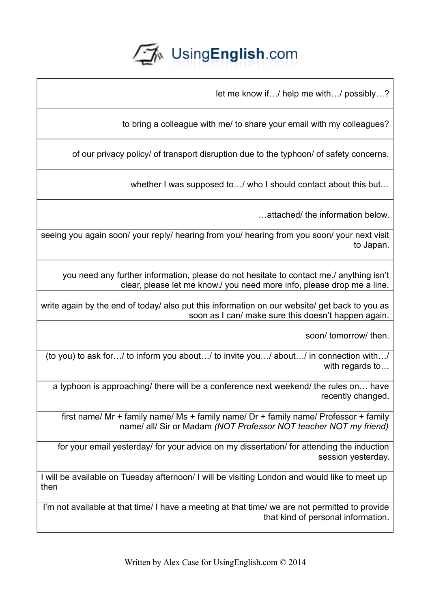UsingEnglish.com

let me know if…/ help me with…/ possibly…?

to bring a colleague with me/ to share your email with my colleagues?

of our privacy policy/ of transport disruption due to the typhoon/ of safety concerns.

whether I was supposed to…/ who I should contact about this but…

…attached/ the information below.

seeing you again soon/ your reply/ hearing from you/ hearing from you soon/ your next visit to Japan.

you need any further information, please do not hesitate to contact me./ anything isn't clear, please let me know./ you need more info, please drop me a line.

write again by the end of today/ also put this information on our website/ get back to you as soon as I can/ make sure this doesn't happen again.

soon/ tomorrow/ then.

(to you) to ask for…/ to inform you about…/ to invite you…/ about…/ in connection with…/ with regards to...

a typhoon is approaching/ there will be a conference next weekend/ the rules on… have recently changed.

first name/ Mr + family name/ Ms + family name/ Dr + family name/ Professor + family name/ all/ Sir or Madam *(NOT Professor NOT teacher NOT my friend)*

for your email yesterday/ for your advice on my dissertation/ for attending the induction session yesterday.

I will be available on Tuesday afternoon/ I will be visiting London and would like to meet up then

I'm not available at that time/ I have a meeting at that time/ we are not permitted to provide that kind of personal information.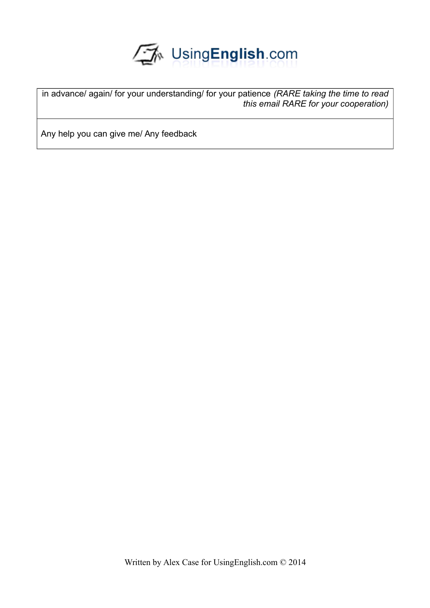

in advance/ again/ for your understanding/ for your patience *(RARE taking the time to read this email RARE for your cooperation)*

Any help you can give me/ Any feedback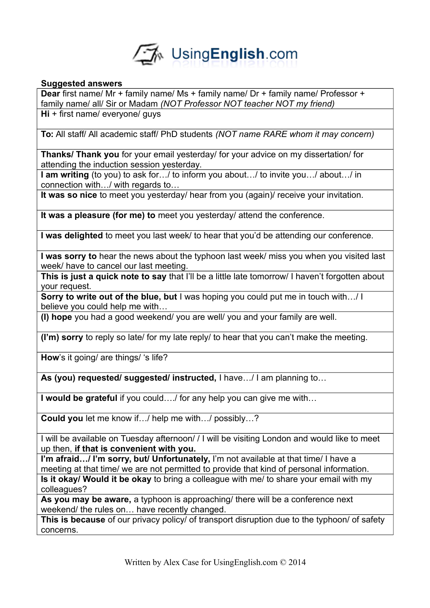

### **Suggested answers**

**Dear** first name/ Mr + family name/ Ms + family name/ Dr + family name/ Professor + family name/ all/ Sir or Madam *(NOT Professor NOT teacher NOT my friend)* **Hi** + first name/ everyone/ guys

**To:** All staff/ All academic staff/ PhD students *(NOT name RARE whom it may concern)*

**Thanks/ Thank you** for your email yesterday/ for your advice on my dissertation/ for attending the induction session yesterday.

**I am writing** (to you) to ask for…/ to inform you about…/ to invite you…/ about…/ in connection with…/ with regards to…

**It was so nice** to meet you yesterday/ hear from you (again)/ receive your invitation.

**It was a pleasure (for me) to** meet you yesterday/ attend the conference.

**I was delighted** to meet you last week/ to hear that you'd be attending our conference.

**I was sorry to** hear the news about the typhoon last week/ miss you when you visited last week/ have to cancel our last meeting.

**This is just a quick note to say** that I'll be a little late tomorrow/ I haven't forgotten about your request.

**Sorry to write out of the blue, but** I was hoping you could put me in touch with.../ I believe you could help me with…

**(I) hope** you had a good weekend/ you are well/ you and your family are well.

**(I'm) sorry** to reply so late/ for my late reply/ to hear that you can't make the meeting.

**How**'s it going/ are things/ 's life?

**As (you) requested/ suggested/ instructed,** I have…/ I am planning to…

**I would be grateful** if you could…./ for any help you can give me with…

**Could you** let me know if…/ help me with…/ possibly…?

I will be available on Tuesday afternoon/ / I will be visiting London and would like to meet up then, **if that is convenient with you.**

**I'm afraid…/ I'm sorry, but/ Unfortunately,** I'm not available at that time/ I have a meeting at that time/ we are not permitted to provide that kind of personal information. **Is it okay/ Would it be okay** to bring a colleague with me/ to share your email with my colleagues?

**As you may be aware,** a typhoon is approaching/ there will be a conference next weekend/ the rules on… have recently changed.

**This is because** of our privacy policy/ of transport disruption due to the typhoon/ of safety concerns.